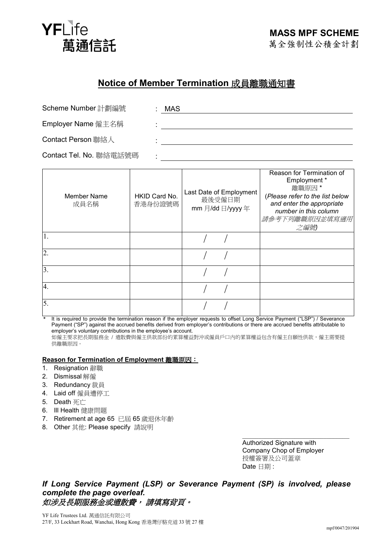

## **Notice of Member Termination** 成員離職通知書

|  | Scheme Number 計劃編號 |  |
|--|--------------------|--|
|  |                    |  |

: MAS

Employer Name 僱主名稱 :

Contact Person 聯絡人 :

Contact Tel. No. 聯絡電話號碼 :

| Member Name<br>成員名稱 | HKID Card No.<br>香港身份證號碼 | Last Date of Employment<br>最後受僱日期<br>mm 月/dd 日/yyyy 年 | Reason for Termination of<br>Employment *<br>離職原因*<br>(Please refer to the list below<br>and enter the appropriate<br>number in this column<br>請參考下列離職原因並填寫適用<br>之編號 |
|---------------------|--------------------------|-------------------------------------------------------|----------------------------------------------------------------------------------------------------------------------------------------------------------------------|
|                     |                          |                                                       |                                                                                                                                                                      |
| $\overline{2}$      |                          |                                                       |                                                                                                                                                                      |
| 3.                  |                          |                                                       |                                                                                                                                                                      |
| 4.                  |                          |                                                       |                                                                                                                                                                      |
| 5.                  |                          |                                                       |                                                                                                                                                                      |

\* It is required to provide the termination reason if the employer requests to offset Long Service Payment ("LSP") / Severance Payment ("SP") against the accrued benefits derived from employer's contributions or there are accrued benefits attributable to employer's voluntary contributions in the employee's account. 如僱主要求把長期服務金 / 遣散費與僱主供款部份的累算權益對沖或僱員戶口內的累算權益包含有僱主自願性供款,僱主需要提

供離職原因。

## **Reason for Termination of Employment** 離職原因:

- 1. Resignation 辭職
- 2. Dismissal 解僱
- 3. Redundancy 裁員
- 4. Laid off 僱員遭停工
- 5. Death 死亡
- 6. Ill Health 健康問題
- 7. Retirement at age 65 已屆 65 歲退休年齡
- 8. Other 其他: Please specify 請說明

\_\_\_\_\_\_\_\_\_\_\_\_\_\_\_\_\_\_\_\_\_\_\_\_\_\_\_\_\_\_\_\_\_ Authorized Signature with Company Chop of Employer 授權簽署及公司蓋章 Date 日期 :

*If Long Service Payment (LSP) or Severance Payment (SP) is involved, please complete the page overleaf.*  如涉及長期服務金或遣散費,請填寫背頁。